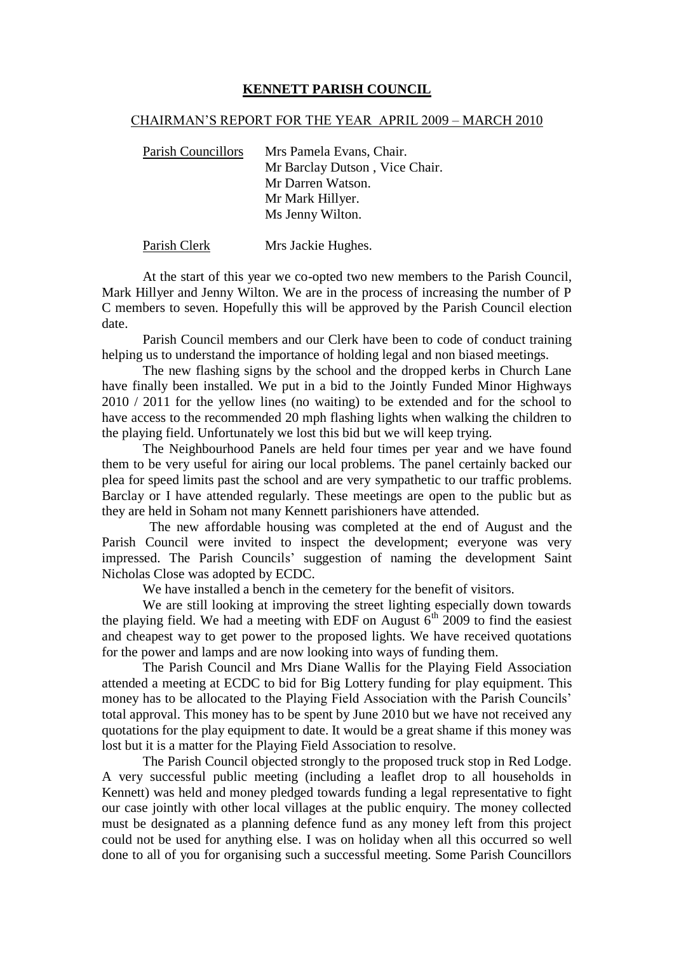## **KENNETT PARISH COUNCIL**

## CHAIRMAN'S REPORT FOR THE YEAR APRIL 2009 – MARCH 2010

Parish Councillors Mrs Pamela Evans, Chair. Mr Barclay Dutson , Vice Chair. Mr Darren Watson. Mr Mark Hillyer. Ms Jenny Wilton.

Parish Clerk Mrs Jackie Hughes.

At the start of this year we co-opted two new members to the Parish Council, Mark Hillyer and Jenny Wilton. We are in the process of increasing the number of P C members to seven. Hopefully this will be approved by the Parish Council election date.

Parish Council members and our Clerk have been to code of conduct training helping us to understand the importance of holding legal and non biased meetings.

The new flashing signs by the school and the dropped kerbs in Church Lane have finally been installed. We put in a bid to the Jointly Funded Minor Highways 2010 / 2011 for the yellow lines (no waiting) to be extended and for the school to have access to the recommended 20 mph flashing lights when walking the children to the playing field. Unfortunately we lost this bid but we will keep trying.

The Neighbourhood Panels are held four times per year and we have found them to be very useful for airing our local problems. The panel certainly backed our plea for speed limits past the school and are very sympathetic to our traffic problems. Barclay or I have attended regularly. These meetings are open to the public but as they are held in Soham not many Kennett parishioners have attended.

The new affordable housing was completed at the end of August and the Parish Council were invited to inspect the development; everyone was very impressed. The Parish Councils' suggestion of naming the development Saint Nicholas Close was adopted by ECDC.

We have installed a bench in the cemetery for the benefit of visitors.

We are still looking at improving the street lighting especially down towards the playing field. We had a meeting with EDF on August  $6<sup>th</sup>$  2009 to find the easiest and cheapest way to get power to the proposed lights. We have received quotations for the power and lamps and are now looking into ways of funding them.

The Parish Council and Mrs Diane Wallis for the Playing Field Association attended a meeting at ECDC to bid for Big Lottery funding for play equipment. This money has to be allocated to the Playing Field Association with the Parish Councils' total approval. This money has to be spent by June 2010 but we have not received any quotations for the play equipment to date. It would be a great shame if this money was lost but it is a matter for the Playing Field Association to resolve.

The Parish Council objected strongly to the proposed truck stop in Red Lodge. A very successful public meeting (including a leaflet drop to all households in Kennett) was held and money pledged towards funding a legal representative to fight our case jointly with other local villages at the public enquiry. The money collected must be designated as a planning defence fund as any money left from this project could not be used for anything else. I was on holiday when all this occurred so well done to all of you for organising such a successful meeting. Some Parish Councillors